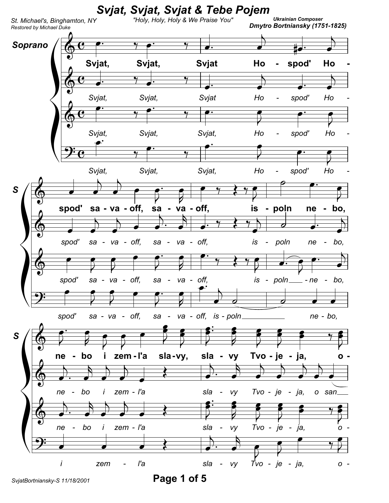

Page 1 of 5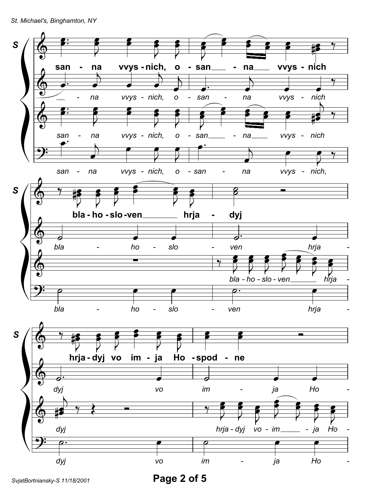St. Michael's, Binghamton, NY



Page 2 of 5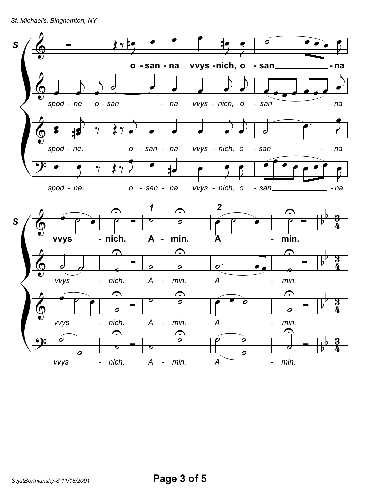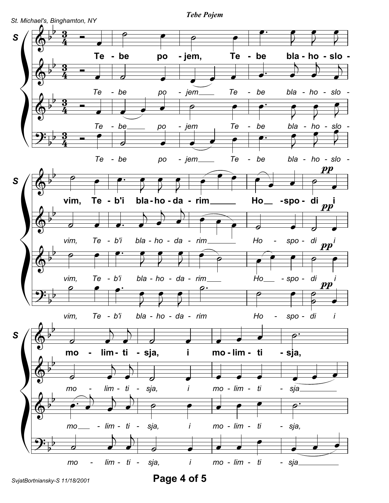

Page 4 of 5